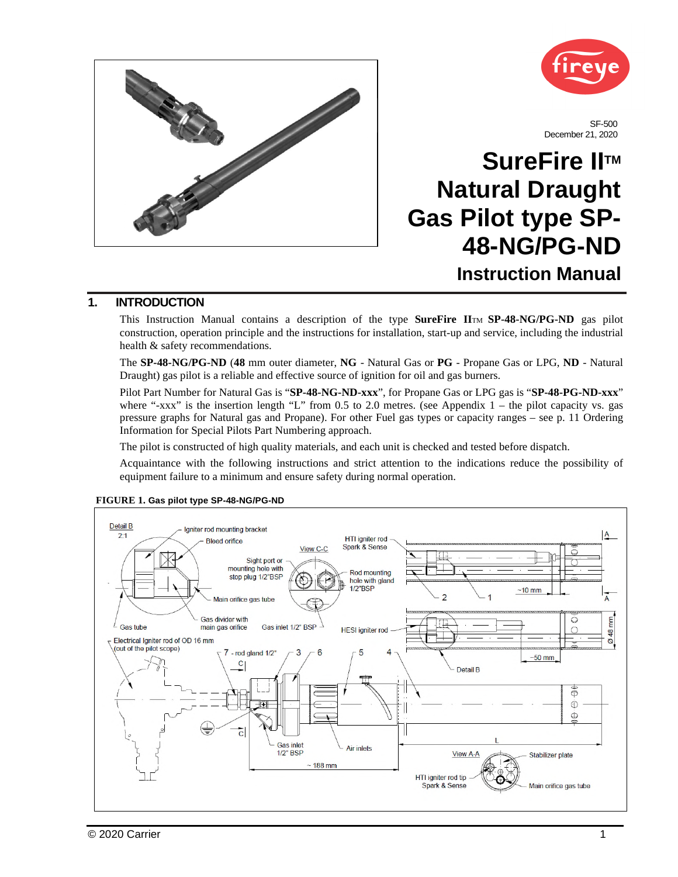



SF-500 December 21, 2020

# **SureFire IITM Natural Draught Gas Pilot type SP-48-NG/PG-ND Instruction Manual**

## **1. INTRODUCTION**

This Instruction Manual contains a description of the type **SureFire II**TM **SP-48-NG/PG-ND** gas pilot construction, operation principle and the instructions for installation, start-up and service, including the industrial health & safety recommendations.

The **SP-48-NG/PG-ND** (**48** mm outer diameter, **NG** - Natural Gas or **PG** - Propane Gas or LPG, **ND** - Natural Draught) gas pilot is a reliable and effective source of ignition for oil and gas burners.

Pilot Part Number for Natural Gas is "**SP-48-NG-ND-xxx**", for Propane Gas or LPG gas is "**SP-48-PG-ND-xxx**" where "-xxx" is the insertion length "L" from 0.5 to 2.0 metres. (see Appendix  $1 -$  the pilot capacity vs. gas pressure graphs for Natural gas and Propane). For other Fuel gas types or capacity ranges – see p. 11 Ordering Information for Special Pilots Part Numbering approach.

The pilot is constructed of high quality materials, and each unit is checked and tested before dispatch.

Acquaintance with the following instructions and strict attention to the indications reduce the possibility of equipment failure to a minimum and ensure safety during normal operation.



#### **FIGURE 1. Gas pilot type SP-48-NG/PG-ND**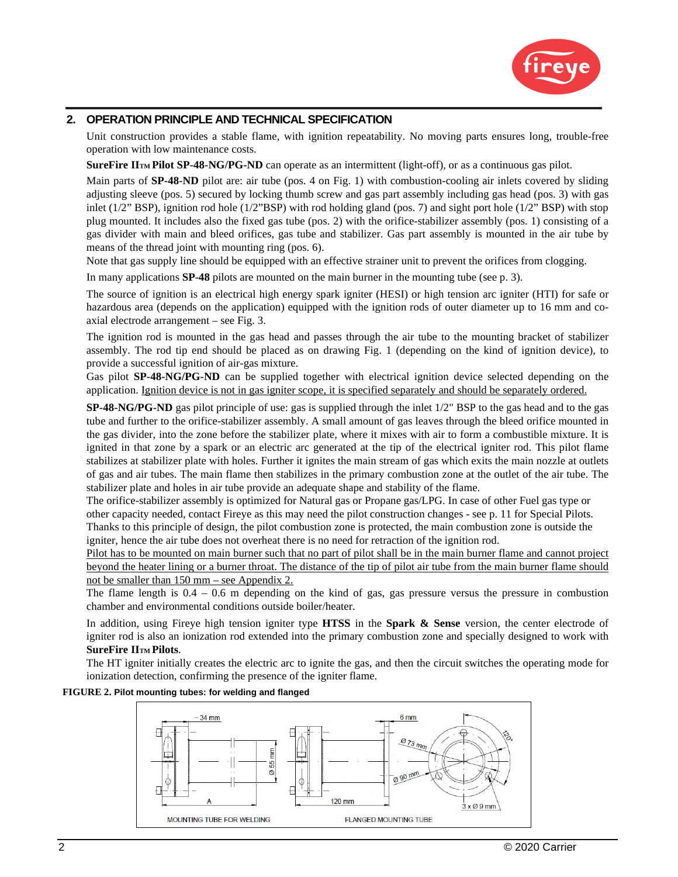

#### **2. OPERATION PRINCIPLE AND TECHNICAL SPECIFICATION**

Unit construction provides a stable flame, with ignition repeatability. No moving parts ensures long, trouble-free operation with low maintenance costs.

**SureFire IITM Pilot SP-48-NG/PG-ND** can operate as an intermittent (light-off), or as a continuous gas pilot.

Main parts of **SP-48-ND** pilot are: air tube (pos. 4 on Fig. 1) with combustion-cooling air inlets covered by sliding adjusting sleeve (pos. 5) secured by locking thumb screw and gas part assembly including gas head (pos. 3) with gas inlet  $(1/2$ " BSP), ignition rod hole  $(1/2$ "BSP) with rod holding gland (pos. 7) and sight port hole  $(1/2$ " BSP) with stop plug mounted. It includes also the fixed gas tube (pos. 2) with the orifice-stabilizer assembly (pos. 1) consisting of a gas divider with main and bleed orifices, gas tube and stabilizer. Gas part assembly is mounted in the air tube by means of the thread joint with mounting ring (pos. 6).

Note that gas supply line should be equipped with an effective strainer unit to prevent the orifices from clogging.

In many applications **SP-48** pilots are mounted on the main burner in the mounting tube (see p. 3).

The source of ignition is an electrical high energy spark igniter (HESI) or high tension arc igniter (HTI) for safe or hazardous area (depends on the application) equipped with the ignition rods of outer diameter up to 16 mm and coaxial electrode arrangement – see Fig. 3.

The ignition rod is mounted in the gas head and passes through the air tube to the mounting bracket of stabilizer assembly. The rod tip end should be placed as on drawing Fig. 1 (depending on the kind of ignition device), to provide a successful ignition of air-gas mixture.

Gas pilot **SP-48-NG/PG-ND** can be supplied together with electrical ignition device selected depending on the application. Ignition device is not in gas igniter scope, it is specified separately and should be separately ordered.

**SP-48-NG/PG-ND** gas pilot principle of use: gas is supplied through the inlet 1/2" BSP to the gas head and to the gas tube and further to the orifice-stabilizer assembly. A small amount of gas leaves through the bleed orifice mounted in the gas divider, into the zone before the stabilizer plate, where it mixes with air to form a combustible mixture. It is ignited in that zone by a spark or an electric arc generated at the tip of the electrical igniter rod. This pilot flame stabilizes at stabilizer plate with holes. Further it ignites the main stream of gas which exits the main nozzle at outlets of gas and air tubes. The main flame then stabilizes in the primary combustion zone at the outlet of the air tube. The stabilizer plate and holes in air tube provide an adequate shape and stability of the flame.

The orifice-stabilizer assembly is optimized for Natural gas or Propane gas/LPG. In case of other Fuel gas type or other capacity needed, contact Fireye as this may need the pilot construction changes - see p. 11 for Special Pilots. Thanks to this principle of design, the pilot combustion zone is protected, the main combustion zone is outside the igniter, hence the air tube does not overheat there is no need for retraction of the ignition rod.

Pilot has to be mounted on main burner such that no part of pilot shall be in the main burner flame and cannot project beyond the heater lining or a burner throat. The distance of the tip of pilot air tube from the main burner flame should not be smaller than 150 mm – see Appendix 2.

The flame length is 0.4 – 0.6 m depending on the kind of gas, gas pressure versus the pressure in combustion chamber and environmental conditions outside boiler/heater.

In addition, using Fireye high tension igniter type **HTSS** in the **Spark & Sense** version, the center electrode of igniter rod is also an ionization rod extended into the primary combustion zone and specially designed to work with **SureFire IITM Pilots**.

The HT igniter initially creates the electric arc to ignite the gas, and then the circuit switches the operating mode for ionization detection, confirming the presence of the igniter flame.

#### **FIGURE 2. Pilot mounting tubes: for welding and flanged**

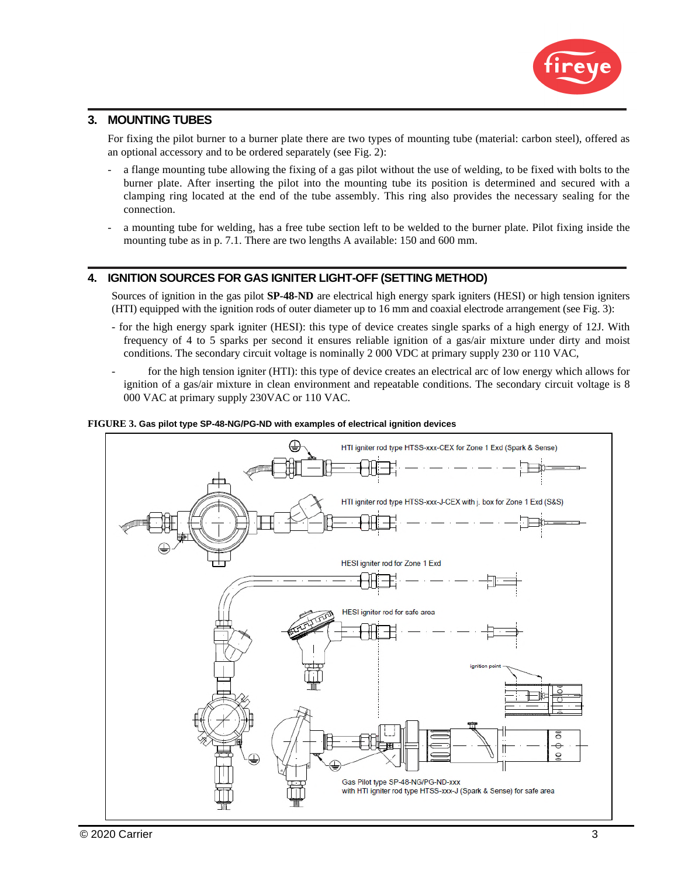

## **3. MOUNTING TUBES**

For fixing the pilot burner to a burner plate there are two types of mounting tube (material: carbon steel), offered as an optional accessory and to be ordered separately (see Fig. 2):

- a flange mounting tube allowing the fixing of a gas pilot without the use of welding, to be fixed with bolts to the burner plate. After inserting the pilot into the mounting tube its position is determined and secured with a clamping ring located at the end of the tube assembly. This ring also provides the necessary sealing for the connection.
- a mounting tube for welding, has a free tube section left to be welded to the burner plate. Pilot fixing inside the mounting tube as in p. 7.1. There are two lengths A available: 150 and 600 mm.

#### **4. IGNITION SOURCES FOR GAS IGNITER LIGHT-OFF (SETTING METHOD)**

Sources of ignition in the gas pilot **SP-48-ND** are electrical high energy spark igniters (HESI) or high tension igniters (HTI) equipped with the ignition rods of outer diameter up to 16 mm and coaxial electrode arrangement (see Fig. 3):

- for the high energy spark igniter (HESI): this type of device creates single sparks of a high energy of 12J. With frequency of 4 to 5 sparks per second it ensures reliable ignition of a gas/air mixture under dirty and moist conditions. The secondary circuit voltage is nominally 2 000 VDC at primary supply 230 or 110 VAC,
- for the high tension igniter (HTI): this type of device creates an electrical arc of low energy which allows for ignition of a gas/air mixture in clean environment and repeatable conditions. The secondary circuit voltage is 8 000 VAC at primary supply 230VAC or 110 VAC.

#### **FIGURE 3. Gas pilot type SP-48-NG/PG-ND with examples of electrical ignition devices**

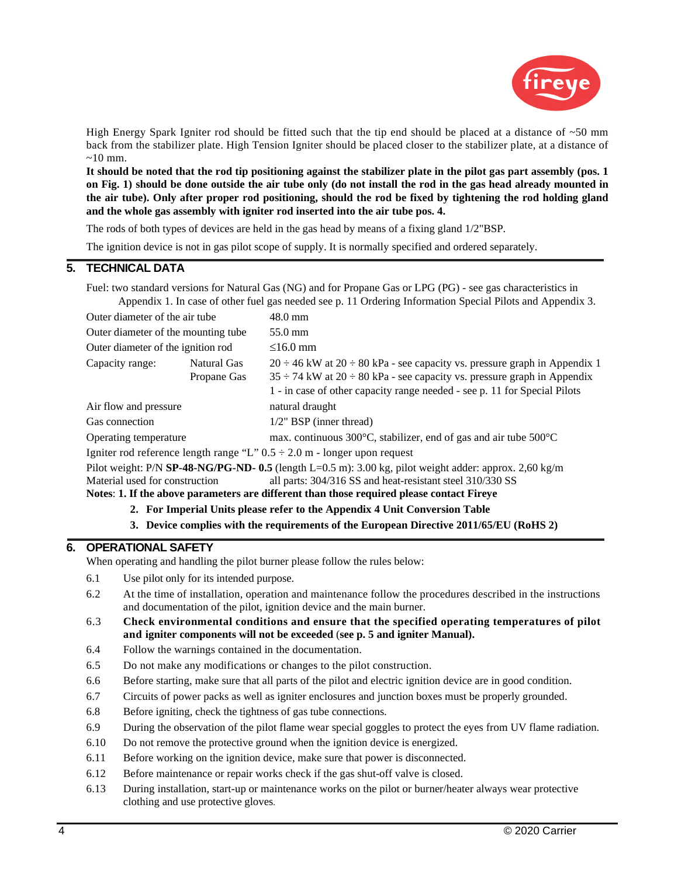

High Energy Spark Igniter rod should be fitted such that the tip end should be placed at a distance of ~50 mm back from the stabilizer plate. High Tension Igniter should be placed closer to the stabilizer plate, at a distance of  $~10$  mm.

**It should be noted that the rod tip positioning against the stabilizer plate in the pilot gas part assembly (pos. 1 on Fig. 1) should be done outside the air tube only (do not install the rod in the gas head already mounted in the air tube). Only after proper rod positioning, should the rod be fixed by tightening the rod holding gland and the whole gas assembly with igniter rod inserted into the air tube pos. 4.** 

The rods of both types of devices are held in the gas head by means of a fixing gland 1/2"BSP.

The ignition device is not in gas pilot scope of supply. It is normally specified and ordered separately.

## **5. TECHNICAL DATA**

Fuel: two standard versions for Natural Gas (NG) and for Propane Gas or LPG (PG) - see gas characteristics in Appendix 1. In case of other fuel gas needed see p. 11 Ordering Information Special Pilots and Appendix 3.

| Outer diameter of the air tube                                                                         |             | $48.0$ mm                                                                           |  |  |  |
|--------------------------------------------------------------------------------------------------------|-------------|-------------------------------------------------------------------------------------|--|--|--|
| Outer diameter of the mounting tube.                                                                   |             | 55.0 mm                                                                             |  |  |  |
| Outer diameter of the ignition rod                                                                     |             | $\leq 16.0$ mm                                                                      |  |  |  |
| Capacity range:                                                                                        | Natural Gas | $20 \div 46$ kW at $20 \div 80$ kPa - see capacity vs. pressure graph in Appendix 1 |  |  |  |
| Propane Gas                                                                                            |             | $35 \div 74$ kW at $20 \div 80$ kPa - see capacity vs. pressure graph in Appendix   |  |  |  |
|                                                                                                        |             | 1 - in case of other capacity range needed - see p. 11 for Special Pilots           |  |  |  |
| Air flow and pressure                                                                                  |             | natural draught                                                                     |  |  |  |
| Gas connection                                                                                         |             | $1/2$ " BSP (inner thread)                                                          |  |  |  |
| Operating temperature                                                                                  |             | max. continuous 300°C, stabilizer, end of gas and air tube 500°C                    |  |  |  |
| Igniter rod reference length range "L" $0.5 \div 2.0$ m - longer upon request                          |             |                                                                                     |  |  |  |
| Pilot weight: P/N SP-48-NG/PG-ND- 0.5 (length L=0.5 m): 3.00 kg, pilot weight adder: approx. 2,60 kg/m |             |                                                                                     |  |  |  |
| Material used for construction                                                                         |             | all parts: 304/316 SS and heat-resistant steel 310/330 SS                           |  |  |  |
| Notes: 1. If the above parameters are different than those required please contact Fireye              |             |                                                                                     |  |  |  |

- **2. For Imperial Units please refer to the Appendix 4 Unit Conversion Table**
- **3. Device complies with the requirements of the European Directive 2011/65/EU (RoHS 2)**

## **6. OPERATIONAL SAFETY**

When operating and handling the pilot burner please follow the rules below:

- 6.1 Use pilot only for its intended purpose.
- 6.2 At the time of installation, operation and maintenance follow the procedures described in the instructions and documentation of the pilot, ignition device and the main burner.
- 6.3 **Check environmental conditions and ensure that the specified operating temperatures of pilot and igniter components will not be exceeded** (**see p. 5 and igniter Manual).**
- 6.4 Follow the warnings contained in the documentation.
- 6.5 Do not make any modifications or changes to the pilot construction.
- 6.6 Before starting, make sure that all parts of the pilot and electric ignition device are in good condition.
- 6.7 Circuits of power packs as well as igniter enclosures and junction boxes must be properly grounded.
- 6.8 Before igniting, check the tightness of gas tube connections.
- 6.9 During the observation of the pilot flame wear special goggles to protect the eyes from UV flame radiation.
- 6.10 Do not remove the protective ground when the ignition device is energized.
- 6.11 Before working on the ignition device, make sure that power is disconnected.
- 6.12 Before maintenance or repair works check if the gas shut-off valve is closed.
- 6.13 During installation, start-up or maintenance works on the pilot or burner/heater always wear protective clothing and use protective gloves.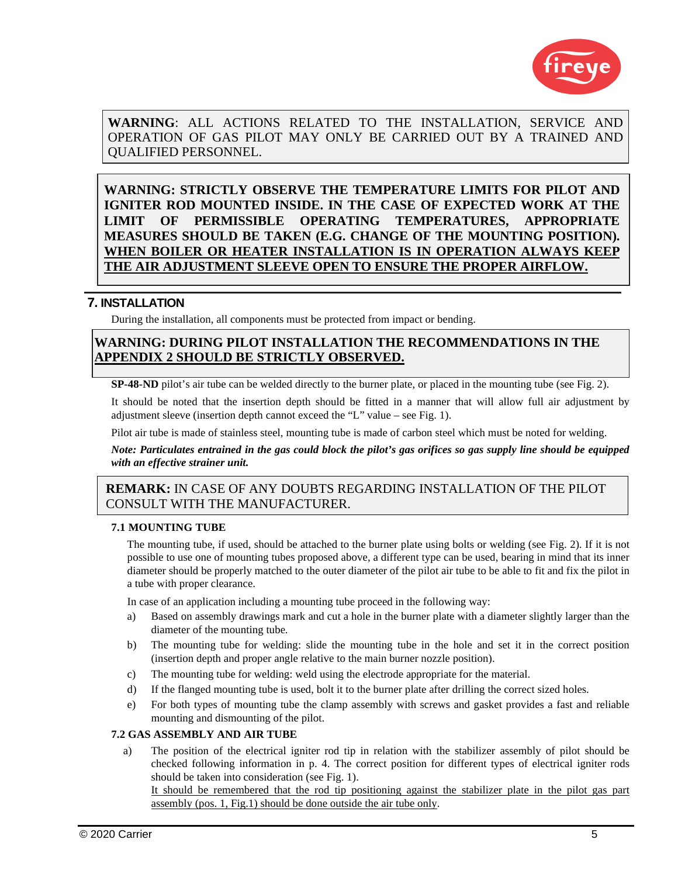

**WARNING**: ALL ACTIONS RELATED TO THE INSTALLATION, SERVICE AND OPERATION OF GAS PILOT MAY ONLY BE CARRIED OUT BY A TRAINED AND QUALIFIED PERSONNEL.

**WARNING: STRICTLY OBSERVE THE TEMPERATURE LIMITS FOR PILOT AND IGNITER ROD MOUNTED INSIDE. IN THE CASE OF EXPECTED WORK AT THE LIMIT OF PERMISSIBLE OPERATING TEMPERATURES, APPROPRIATE MEASURES SHOULD BE TAKEN (E.G. CHANGE OF THE MOUNTING POSITION). WHEN BOILER OR HEATER INSTALLATION IS IN OPERATION ALWAYS KEEP THE AIR ADJUSTMENT SLEEVE OPEN TO ENSURE THE PROPER AIRFLOW.** 

#### **7. INSTALLATION**

During the installation, all components must be protected from impact or bending.

## **WARNING: DURING PILOT INSTALLATION THE RECOMMENDATIONS IN THE APPENDIX 2 SHOULD BE STRICTLY OBSERVED.**

**SP-48-ND** pilot's air tube can be welded directly to the burner plate, or placed in the mounting tube (see Fig. 2).

It should be noted that the insertion depth should be fitted in a manner that will allow full air adjustment by adjustment sleeve (insertion depth cannot exceed the "L" value – see Fig. 1).

Pilot air tube is made of stainless steel, mounting tube is made of carbon steel which must be noted for welding.

*Note: Particulates entrained in the gas could block the pilot's gas orifices so gas supply line should be equipped with an effective strainer unit.* 

**REMARK:** IN CASE OF ANY DOUBTS REGARDING INSTALLATION OF THE PILOT CONSULT WITH THE MANUFACTURER.

#### **7.1 MOUNTING TUBE**

The mounting tube, if used, should be attached to the burner plate using bolts or welding (see Fig. 2). If it is not possible to use one of mounting tubes proposed above, a different type can be used, bearing in mind that its inner diameter should be properly matched to the outer diameter of the pilot air tube to be able to fit and fix the pilot in a tube with proper clearance.

In case of an application including a mounting tube proceed in the following way:

- a) Based on assembly drawings mark and cut a hole in the burner plate with a diameter slightly larger than the diameter of the mounting tube.
- b) The mounting tube for welding: slide the mounting tube in the hole and set it in the correct position (insertion depth and proper angle relative to the main burner nozzle position).
- c) The mounting tube for welding: weld using the electrode appropriate for the material.
- d) If the flanged mounting tube is used, bolt it to the burner plate after drilling the correct sized holes.
- e) For both types of mounting tube the clamp assembly with screws and gasket provides a fast and reliable mounting and dismounting of the pilot.

#### **7.2 GAS ASSEMBLY AND AIR TUBE**

a) The position of the electrical igniter rod tip in relation with the stabilizer assembly of pilot should be checked following information in p. 4. The correct position for different types of electrical igniter rods should be taken into consideration (see Fig. 1).

It should be remembered that the rod tip positioning against the stabilizer plate in the pilot gas part assembly (pos. 1, Fig.1) should be done outside the air tube only.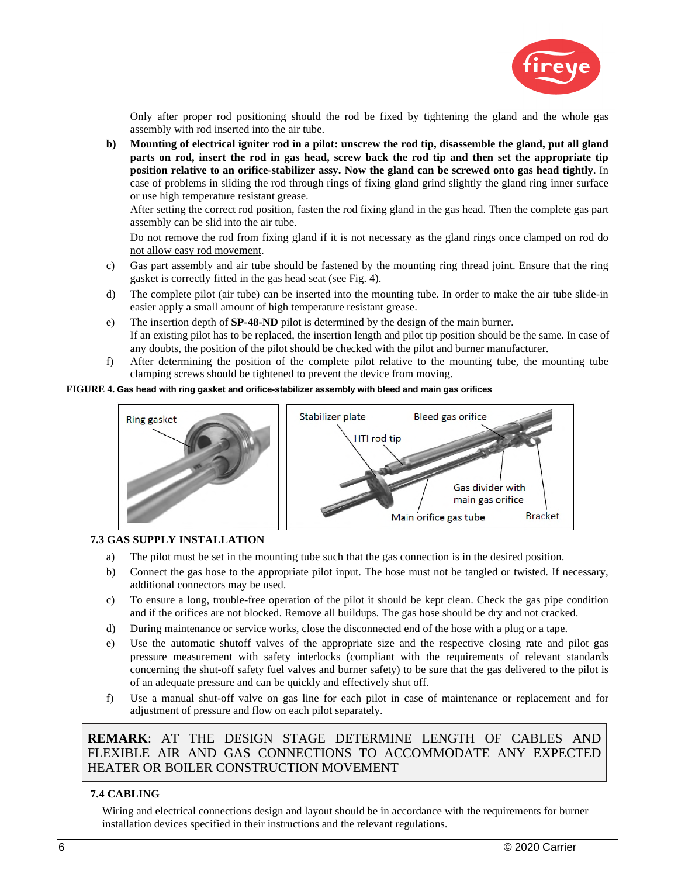

Only after proper rod positioning should the rod be fixed by tightening the gland and the whole gas assembly with rod inserted into the air tube.

**b) Mounting of electrical igniter rod in a pilot: unscrew the rod tip, disassemble the gland, put all gland parts on rod, insert the rod in gas head, screw back the rod tip and then set the appropriate tip position relative to an orifice-stabilizer assy. Now the gland can be screwed onto gas head tightly**. In case of problems in sliding the rod through rings of fixing gland grind slightly the gland ring inner surface or use high temperature resistant grease.

After setting the correct rod position, fasten the rod fixing gland in the gas head. Then the complete gas part assembly can be slid into the air tube.

Do not remove the rod from fixing gland if it is not necessary as the gland rings once clamped on rod do not allow easy rod movement.

- c) Gas part assembly and air tube should be fastened by the mounting ring thread joint. Ensure that the ring gasket is correctly fitted in the gas head seat (see Fig. 4).
- d) The complete pilot (air tube) can be inserted into the mounting tube. In order to make the air tube slide-in easier apply a small amount of high temperature resistant grease.
- e) The insertion depth of **SP-48-ND** pilot is determined by the design of the main burner. If an existing pilot has to be replaced, the insertion length and pilot tip position should be the same. In case of any doubts, the position of the pilot should be checked with the pilot and burner manufacturer.
- f) After determining the position of the complete pilot relative to the mounting tube, the mounting tube clamping screws should be tightened to prevent the device from moving.

**FIGURE 4. Gas head with ring gasket and orifice-stabilizer assembly with bleed and main gas orifices** 



#### **7.3 GAS SUPPLY INSTALLATION**

- a) The pilot must be set in the mounting tube such that the gas connection is in the desired position.
- b) Connect the gas hose to the appropriate pilot input. The hose must not be tangled or twisted. If necessary, additional connectors may be used.
- c) To ensure a long, trouble-free operation of the pilot it should be kept clean. Check the gas pipe condition and if the orifices are not blocked. Remove all buildups. The gas hose should be dry and not cracked.
- d) During maintenance or service works, close the disconnected end of the hose with a plug or a tape.
- e) Use the automatic shutoff valves of the appropriate size and the respective closing rate and pilot gas pressure measurement with safety interlocks (compliant with the requirements of relevant standards concerning the shut-off safety fuel valves and burner safety) to be sure that the gas delivered to the pilot is of an adequate pressure and can be quickly and effectively shut off.
- f) Use a manual shut-off valve on gas line for each pilot in case of maintenance or replacement and for adjustment of pressure and flow on each pilot separately.

## **REMARK**: AT THE DESIGN STAGE DETERMINE LENGTH OF CABLES AND FLEXIBLE AIR AND GAS CONNECTIONS TO ACCOMMODATE ANY EXPECTED HEATER OR BOILER CONSTRUCTION MOVEMENT

#### **7.4 CABLING**

Wiring and electrical connections design and layout should be in accordance with the requirements for burner installation devices specified in their instructions and the relevant regulations.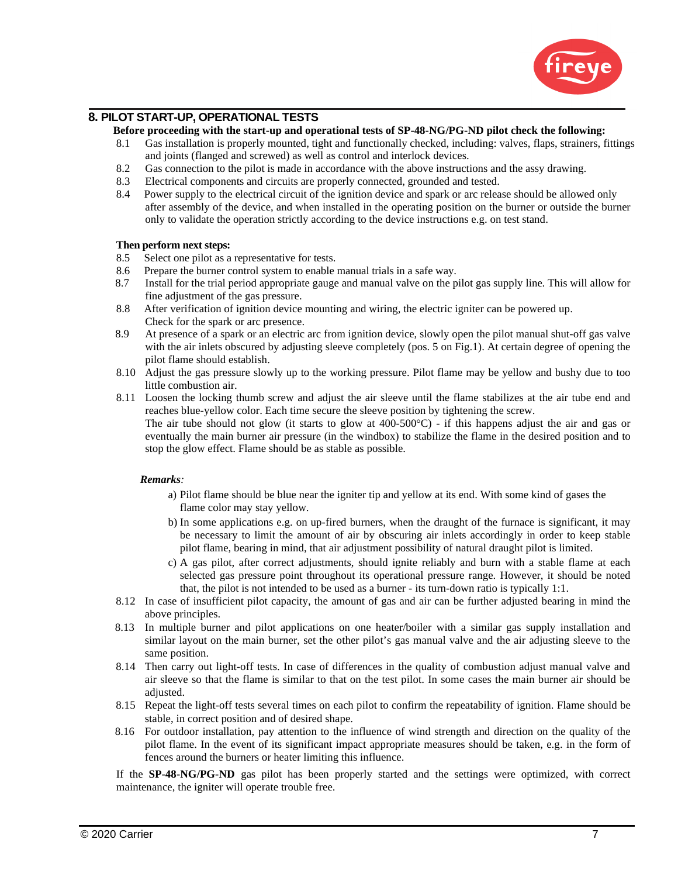

#### **8. PILOT START-UP, OPERATIONAL TESTS**

**Before proceeding with the start-up and operational tests of SP-48-NG/PG-ND pilot check the following:** 

- 8.1 Gas installation is properly mounted, tight and functionally checked, including: valves, flaps, strainers, fittings and joints (flanged and screwed) as well as control and interlock devices.
- 8.2 Gas connection to the pilot is made in accordance with the above instructions and the assy drawing.
- 8.3 Electrical components and circuits are properly connected, grounded and tested.
- 8.4 Power supply to the electrical circuit of the ignition device and spark or arc release should be allowed only after assembly of the device, and when installed in the operating position on the burner or outside the burner only to validate the operation strictly according to the device instructions e.g. on test stand.

#### **Then perform next steps:**

- 8.5 Select one pilot as a representative for tests.
- 8.6 Prepare the burner control system to enable manual trials in a safe way.
- 8.7 Install for the trial period appropriate gauge and manual valve on the pilot gas supply line. This will allow for fine adjustment of the gas pressure.
- 8.8 After verification of ignition device mounting and wiring, the electric igniter can be powered up. Check for the spark or arc presence.
- 8.9 At presence of a spark or an electric arc from ignition device, slowly open the pilot manual shut-off gas valve with the air inlets obscured by adjusting sleeve completely (pos. 5 on Fig.1). At certain degree of opening the pilot flame should establish.
- 8.10 Adjust the gas pressure slowly up to the working pressure. Pilot flame may be yellow and bushy due to too little combustion air.
- 8.11 Loosen the locking thumb screw and adjust the air sleeve until the flame stabilizes at the air tube end and reaches blue-yellow color. Each time secure the sleeve position by tightening the screw. The air tube should not glow (it starts to glow at  $400-500^{\circ}$ C) - if this happens adjust the air and gas or eventually the main burner air pressure (in the windbox) to stabilize the flame in the desired position and to stop the glow effect. Flame should be as stable as possible.

#### *Remarks:*

- a) Pilot flame should be blue near the igniter tip and yellow at its end. With some kind of gases the flame color may stay yellow.
- b) In some applications e.g. on up-fired burners, when the draught of the furnace is significant, it may be necessary to limit the amount of air by obscuring air inlets accordingly in order to keep stable pilot flame, bearing in mind, that air adjustment possibility of natural draught pilot is limited.
- c) A gas pilot, after correct adjustments, should ignite reliably and burn with a stable flame at each selected gas pressure point throughout its operational pressure range. However, it should be noted that, the pilot is not intended to be used as a burner - its turn-down ratio is typically 1:1.
- 8.12 In case of insufficient pilot capacity, the amount of gas and air can be further adjusted bearing in mind the above principles.
- 8.13 In multiple burner and pilot applications on one heater/boiler with a similar gas supply installation and similar layout on the main burner, set the other pilot's gas manual valve and the air adjusting sleeve to the same position.
- 8.14 Then carry out light-off tests. In case of differences in the quality of combustion adjust manual valve and air sleeve so that the flame is similar to that on the test pilot. In some cases the main burner air should be adjusted.
- 8.15 Repeat the light-off tests several times on each pilot to confirm the repeatability of ignition. Flame should be stable, in correct position and of desired shape.
- 8.16 For outdoor installation, pay attention to the influence of wind strength and direction on the quality of the pilot flame. In the event of its significant impact appropriate measures should be taken, e.g. in the form of fences around the burners or heater limiting this influence.

If the **SP-48-NG/PG-ND** gas pilot has been properly started and the settings were optimized, with correct maintenance, the igniter will operate trouble free.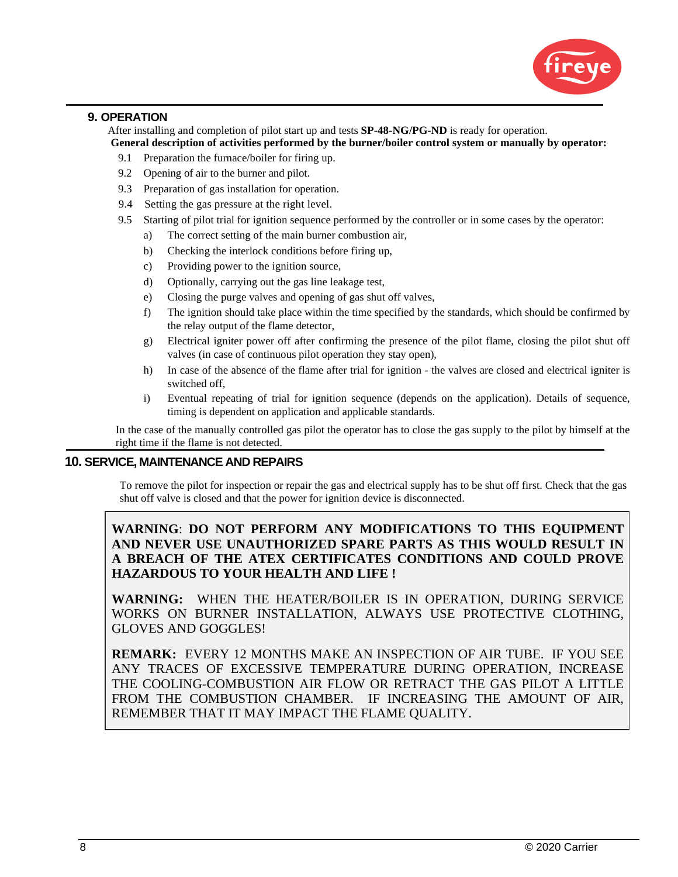

#### **9. OPERATION**

After installing and completion of pilot start up and tests **SP-48-NG/PG-ND** is ready for operation.

**General description of activities performed by the burner/boiler control system or manually by operator:** 

- 9.1 Preparation the furnace/boiler for firing up.
- 9.2 Opening of air to the burner and pilot.
- 9.3 Preparation of gas installation for operation.
- 9.4 Setting the gas pressure at the right level.
- 9.5 Starting of pilot trial for ignition sequence performed by the controller or in some cases by the operator:
	- a) The correct setting of the main burner combustion air,
	- b) Checking the interlock conditions before firing up,
	- c) Providing power to the ignition source,
	- d) Optionally, carrying out the gas line leakage test,
	- e) Closing the purge valves and opening of gas shut off valves,
	- f) The ignition should take place within the time specified by the standards, which should be confirmed by the relay output of the flame detector,
	- g) Electrical igniter power off after confirming the presence of the pilot flame, closing the pilot shut off valves (in case of continuous pilot operation they stay open),
	- h) In case of the absence of the flame after trial for ignition the valves are closed and electrical igniter is switched off,
	- i) Eventual repeating of trial for ignition sequence (depends on the application). Details of sequence, timing is dependent on application and applicable standards.

In the case of the manually controlled gas pilot the operator has to close the gas supply to the pilot by himself at the right time if the flame is not detected.

#### **10. SERVICE, MAINTENANCE AND REPAIRS**

To remove the pilot for inspection or repair the gas and electrical supply has to be shut off first. Check that the gas shut off valve is closed and that the power for ignition device is disconnected.

## **WARNING**: **DO NOT PERFORM ANY MODIFICATIONS TO THIS EQUIPMENT AND NEVER USE UNAUTHORIZED SPARE PARTS AS THIS WOULD RESULT IN A BREACH OF THE ATEX CERTIFICATES CONDITIONS AND COULD PROVE HAZARDOUS TO YOUR HEALTH AND LIFE !**

**WARNING:** WHEN THE HEATER/BOILER IS IN OPERATION, DURING SERVICE WORKS ON BURNER INSTALLATION, ALWAYS USE PROTECTIVE CLOTHING, GLOVES AND GOGGLES!

**REMARK:** EVERY 12 MONTHS MAKE AN INSPECTION OF AIR TUBE. IF YOU SEE ANY TRACES OF EXCESSIVE TEMPERATURE DURING OPERATION, INCREASE THE COOLING-COMBUSTION AIR FLOW OR RETRACT THE GAS PILOT A LITTLE FROM THE COMBUSTION CHAMBER. IF INCREASING THE AMOUNT OF AIR, REMEMBER THAT IT MAY IMPACT THE FLAME QUALITY.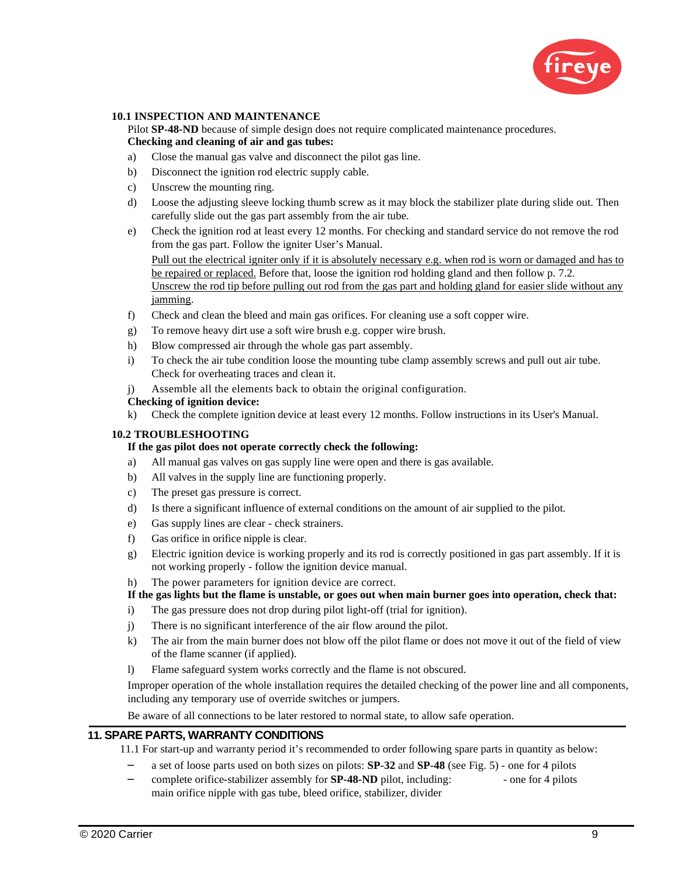

#### **10.1 INSPECTION AND MAINTENANCE**

Pilot **SP-48-ND** because of simple design does not require complicated maintenance procedures. **Checking and cleaning of air and gas tubes:** 

- a) Close the manual gas valve and disconnect the pilot gas line.
- b) Disconnect the ignition rod electric supply cable.
- c) Unscrew the mounting ring.
- d) Loose the adjusting sleeve locking thumb screw as it may block the stabilizer plate during slide out. Then carefully slide out the gas part assembly from the air tube.
- e) Check the ignition rod at least every 12 months. For checking and standard service do not remove the rod from the gas part. Follow the igniter User's Manual. Pull out the electrical igniter only if it is absolutely necessary e.g. when rod is worn or damaged and has to be repaired or replaced. Before that, loose the ignition rod holding gland and then follow p. 7.2. Unscrew the rod tip before pulling out rod from the gas part and holding gland for easier slide without any jamming.
- f) Check and clean the bleed and main gas orifices. For cleaning use a soft copper wire.
- g) To remove heavy dirt use a soft wire brush e.g. copper wire brush.
- h) Blow compressed air through the whole gas part assembly.
- i) To check the air tube condition loose the mounting tube clamp assembly screws and pull out air tube. Check for overheating traces and clean it.
- j) Assemble all the elements back to obtain the original configuration.

#### **Checking of ignition device:**

k) Check the complete ignition device at least every 12 months. Follow instructions in its User's Manual.

#### **10.2 TROUBLESHOOTING**

#### **If the gas pilot does not operate correctly check the following:**

- a) All manual gas valves on gas supply line were open and there is gas available.
- b) All valves in the supply line are functioning properly.
- c) The preset gas pressure is correct.
- d) Is there a significant influence of external conditions on the amount of air supplied to the pilot.
- e) Gas supply lines are clear check strainers.
- f) Gas orifice in orifice nipple is clear.
- g) Electric ignition device is working properly and its rod is correctly positioned in gas part assembly. If it is not working properly - follow the ignition device manual.

#### h) The power parameters for ignition device are correct.

#### **If the gas lights but the flame is unstable, or goes out when main burner goes into operation, check that:**

- i) The gas pressure does not drop during pilot light-off (trial for ignition).
- j) There is no significant interference of the air flow around the pilot.
- k) The air from the main burner does not blow off the pilot flame or does not move it out of the field of view of the flame scanner (if applied).
- l) Flame safeguard system works correctly and the flame is not obscured.

Improper operation of the whole installation requires the detailed checking of the power line and all components, including any temporary use of override switches or jumpers.

Be aware of all connections to be later restored to normal state, to allow safe operation.

#### **11. SPARE PARTS, WARRANTY CONDITIONS**

11.1 For start-up and warranty period it's recommended to order following spare parts in quantity as below:

- a set of loose parts used on both sizes on pilots: **SP-32** and **SP-48** (see Fig. 5) one for 4 pilots
- complete orifice-stabilizer assembly for **SP-48-ND** pilot, including: one for 4 pilots main orifice nipple with gas tube, bleed orifice, stabilizer, divider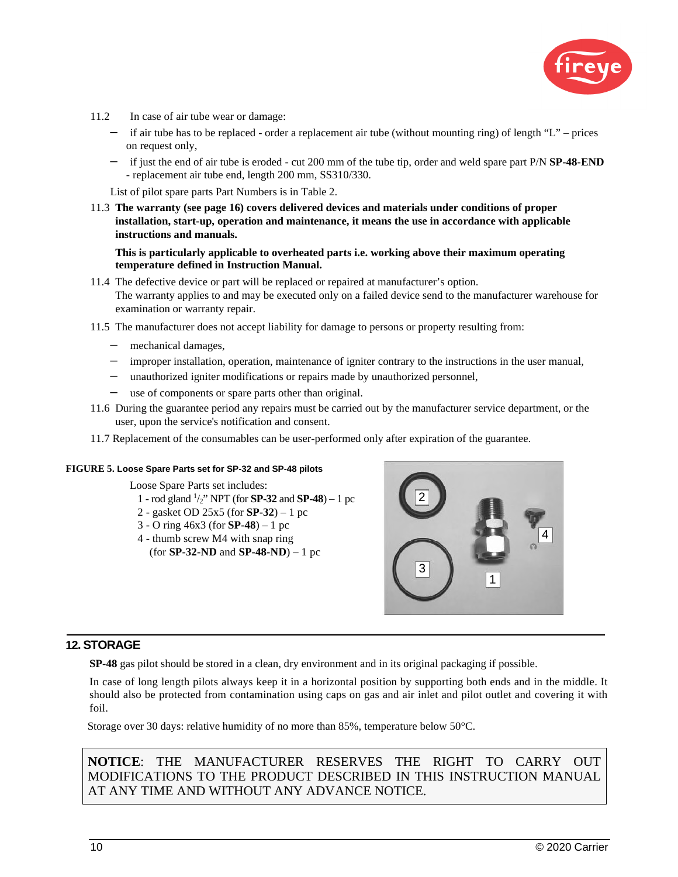

- 11.2 In case of air tube wear or damage:
	- $-$  if air tube has to be replaced order a replacement air tube (without mounting ring) of length "L" prices on request only,
	- if just the end of air tube is eroded cut 200 mm of the tube tip, order and weld spare part P/N **SP-48-END**  - replacement air tube end, length 200 mm, SS310/330.

List of pilot spare parts Part Numbers is in Table 2.

11.3 **The warranty (see page 16) covers delivered devices and materials under conditions of proper installation, start-up, operation and maintenance, it means the use in accordance with applicable instructions and manuals.** 

**This is particularly applicable to overheated parts i.e. working above their maximum operating temperature defined in Instruction Manual.** 

- 11.4 The defective device or part will be replaced or repaired at manufacturer's option. The warranty applies to and may be executed only on a failed device send to the manufacturer warehouse for examination or warranty repair.
- 11.5 The manufacturer does not accept liability for damage to persons or property resulting from:
	- mechanical damages,
	- improper installation, operation, maintenance of igniter contrary to the instructions in the user manual,
	- unauthorized igniter modifications or repairs made by unauthorized personnel,
	- use of components or spare parts other than original.
- 11.6 During the guarantee period any repairs must be carried out by the manufacturer service department, or the user, upon the service's notification and consent.
- 11.7 Replacement of the consumables can be user-performed only after expiration of the guarantee.

#### **FIGURE 5. Loose Spare Parts set for SP-32 and SP-48 pilots**

Loose Spare Parts set includes:

- 1 rod gland <sup>1</sup> /2" NPT (for **SP-32** and **SP-48**) 1 pc
- 2 gasket OD 25x5 (for **SP-32**) 1 pc
- 3 O ring 46x3 (for **SP-48**) 1 pc
- 4 thumb screw M4 with snap ring (for **SP-32-ND** and **SP-48-ND**) – 1 pc



#### **12. STORAGE**

**SP-48** gas pilot should be stored in a clean, dry environment and in its original packaging if possible.

In case of long length pilots always keep it in a horizontal position by supporting both ends and in the middle. It should also be protected from contamination using caps on gas and air inlet and pilot outlet and covering it with foil.

Storage over 30 days: relative humidity of no more than 85%, temperature below 50°C.

**NOTICE**: THE MANUFACTURER RESERVES THE RIGHT TO CARRY OUT MODIFICATIONS TO THE PRODUCT DESCRIBED IN THIS INSTRUCTION MANUAL AT ANY TIME AND WITHOUT ANY ADVANCE NOTICE.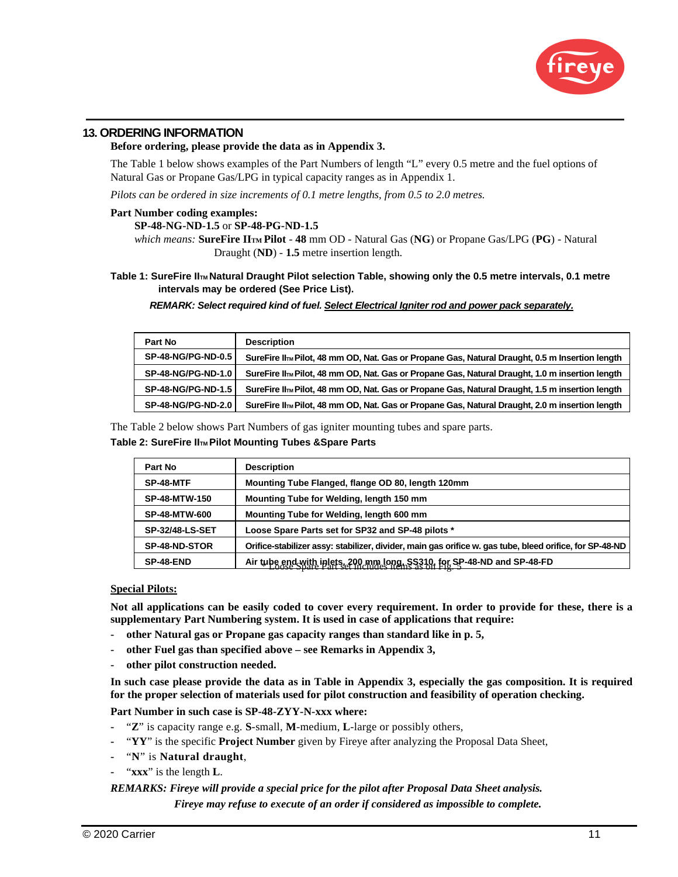

#### **13. ORDERING INFORMATION**

#### **Before ordering, please provide the data as in Appendix 3.**

The Table 1 below shows examples of the Part Numbers of length "L" every 0.5 metre and the fuel options of Natural Gas or Propane Gas/LPG in typical capacity ranges as in Appendix 1.

*Pilots can be ordered in size increments of 0.1 metre lengths, from 0.5 to 2.0 metres.* 

#### **Part Number coding examples:**

#### **SP-48-NG-ND-1.5** or **SP-48-PG-ND-1.5**

*which means:* **SureFire IITM Pilot** - **48** mm OD - Natural Gas (**NG**) or Propane Gas/LPG (**PG**) - Natural Draught (**ND**) - **1.5** metre insertion length.

#### Table 1: SureFire II<sub>TM</sub> Natural Draught Pilot selection Table, showing only the 0.5 metre intervals, 0.1 metre **intervals may be ordered (See Price List).**

*REMARK: Select required kind of fuel. Select Electrical Igniter rod and power pack separately.* 

| Part No            | <b>Description</b>                                                                                          |
|--------------------|-------------------------------------------------------------------------------------------------------------|
| SP-48-NG/PG-ND-0.5 | SureFire II <sub>TM</sub> Pilot, 48 mm OD, Nat. Gas or Propane Gas, Natural Draught, 0.5 m Insertion length |
| SP-48-NG/PG-ND-1.0 | SureFire II <sub>TM</sub> Pilot, 48 mm OD, Nat. Gas or Propane Gas, Natural Draught, 1.0 m insertion length |
| SP-48-NG/PG-ND-1.5 | SureFire II <sub>TM</sub> Pilot, 48 mm OD, Nat. Gas or Propane Gas, Natural Draught, 1.5 m insertion length |
| SP-48-NG/PG-ND-2.0 | SureFire II <sub>TM</sub> Pilot, 48 mm OD, Nat. Gas or Propane Gas, Natural Draught, 2.0 m insertion length |

The Table 2 below shows Part Numbers of gas igniter mounting tubes and spare parts.

#### **Table 2: SureFire IITM Pilot Mounting Tubes &Spare Parts**

| Part No                | <b>Description</b>                                                                                      |
|------------------------|---------------------------------------------------------------------------------------------------------|
| SP-48-MTF              | Mounting Tube Flanged, flange OD 80, length 120mm                                                       |
| <b>SP-48-MTW-150</b>   | Mounting Tube for Welding, length 150 mm                                                                |
| <b>SP-48-MTW-600</b>   | Mounting Tube for Welding, length 600 mm                                                                |
| <b>SP-32/48-LS-SET</b> | Loose Spare Parts set for SP32 and SP-48 pilots *                                                       |
| SP-48-ND-STOR          | Orifice-stabilizer assy: stabilizer, divider, main gas orifice w. gas tube, bleed orifice, for SP-48-ND |
| SP-48-END              | Air tube end with inlets, 200 mm long, SS310, for SP-48-ND and SP-48-FD                                 |

#### **Special Pilots:**

**Not all applications can be easily coded to cover every requirement. In order to provide for these, there is a supplementary Part Numbering system. It is used in case of applications that require:** 

- **other Natural gas or Propane gas capacity ranges than standard like in p. 5,**
- **other Fuel gas than specified above see Remarks in Appendix 3,**
- **other pilot construction needed.**

**In such case please provide the data as in Table in Appendix 3, especially the gas composition. It is required for the proper selection of materials used for pilot construction and feasibility of operation checking.** 

**Part Number in such case is SP-48-ZYY-N-xxx where:** 

- "**Z**" is capacity range e.g. **S**-small, **M**-medium, **L**-large or possibly others,
- "**YY**" is the specific **Project Number** given by Fireye after analyzing the Proposal Data Sheet,
- "**N**" is **Natural draught**,
- "**xxx**" is the length **L**.

#### *REMARKS: Fireye will provide a special price for the pilot after Proposal Data Sheet analysis. Fireye may refuse to execute of an order if considered as impossible to complete.*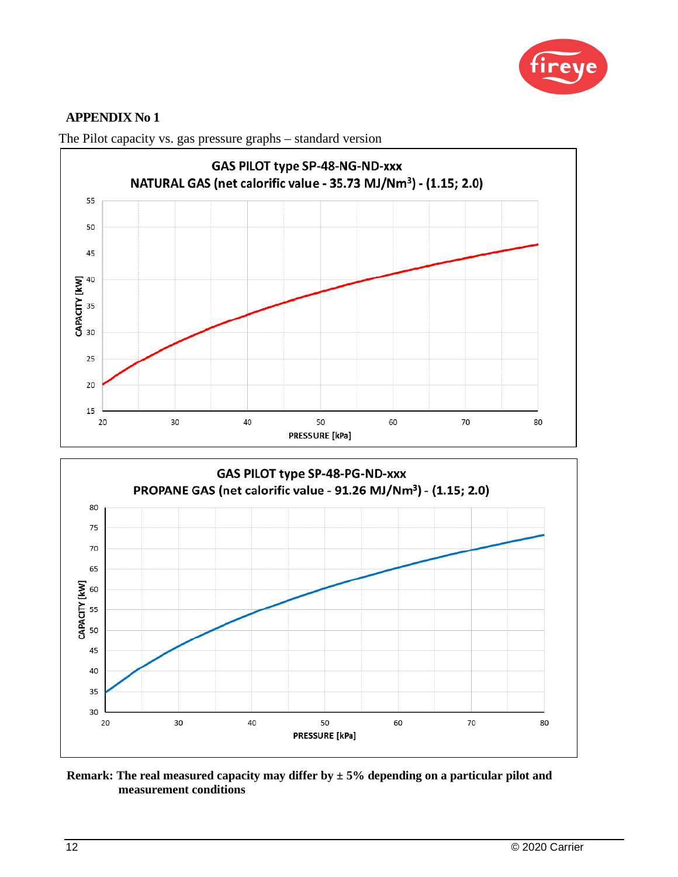



The Pilot capacity vs. gas pressure graphs – standard version



## **Remark: The real measured capacity may differ by ± 5% depending on a particular pilot and measurement conditions**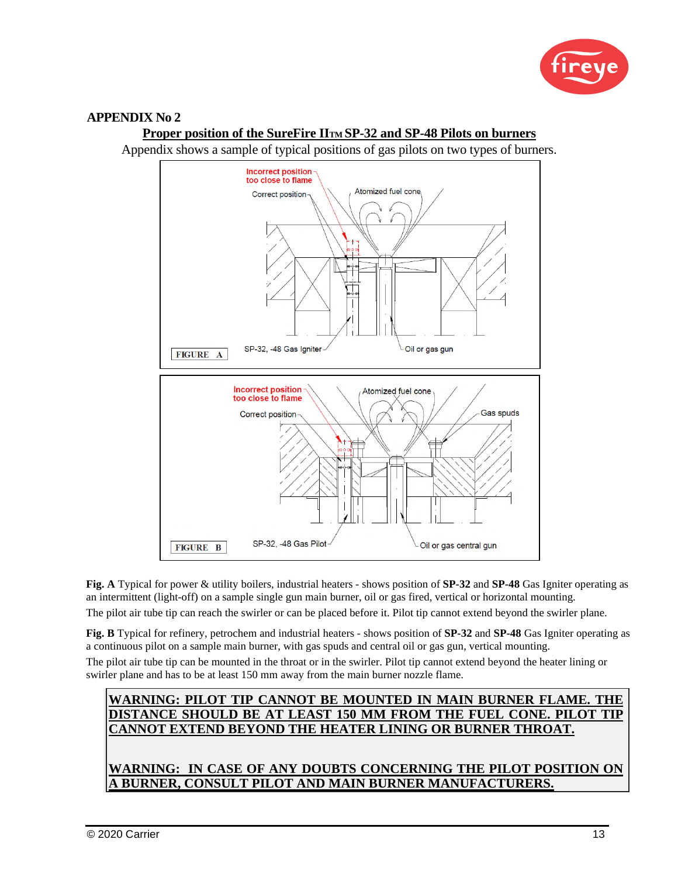

#### **Proper position of the SureFire IITM SP-32 and SP-48 Pilots on burners**



Appendix shows a sample of typical positions of gas pilots on two types of burners.

**Fig. A** Typical for power & utility boilers, industrial heaters - shows position of **SP-32** and **SP-48** Gas Igniter operating as an intermittent (light-off) on a sample single gun main burner, oil or gas fired, vertical or horizontal mounting.

The pilot air tube tip can reach the swirler or can be placed before it. Pilot tip cannot extend beyond the swirler plane.

**Fig. B** Typical for refinery, petrochem and industrial heaters - shows position of **SP-32** and **SP-48** Gas Igniter operating as a continuous pilot on a sample main burner, with gas spuds and central oil or gas gun, vertical mounting.

The pilot air tube tip can be mounted in the throat or in the swirler. Pilot tip cannot extend beyond the heater lining or swirler plane and has to be at least 150 mm away from the main burner nozzle flame.

## **WARNING: PILOT TIP CANNOT BE MOUNTED IN MAIN BURNER FLAME. THE DISTANCE SHOULD BE AT LEAST 150 MM FROM THE FUEL CONE. PILOT TIP CANNOT EXTEND BEYOND THE HEATER LINING OR BURNER THROAT.**

## **WARNING: IN CASE OF ANY DOUBTS CONCERNING THE PILOT POSITION ON BURNER, CONSULT PILOT AND MAIN BURNER MANUFACTURERS.**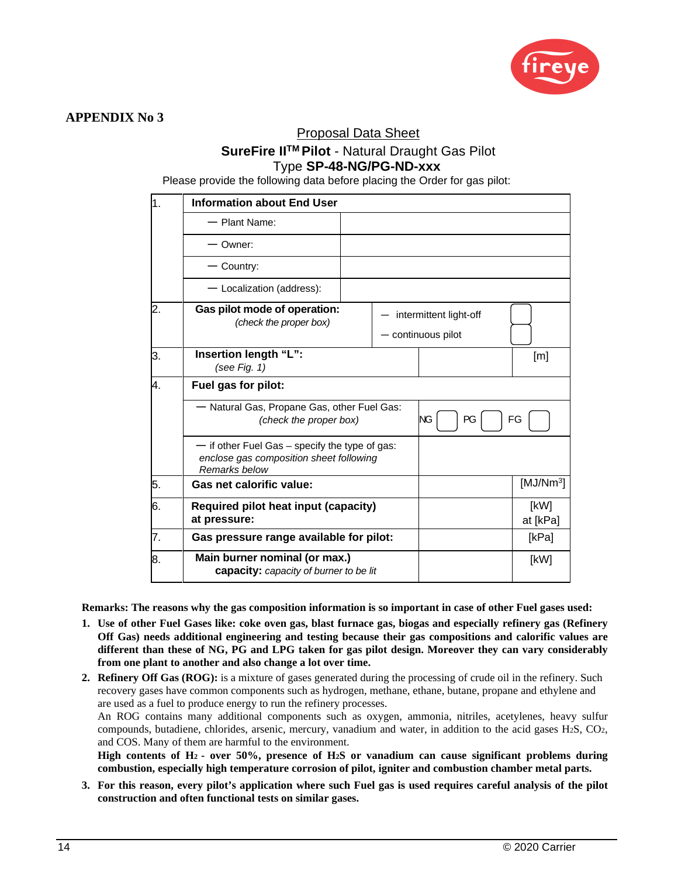

## Proposal Data Sheet

## **SureFire IITM Pilot** - Natural Draught Gas Pilot Type **SP-48-NG/PG-ND-xxx**

Please provide the following data before placing the Order for gas pilot:

| $\overline{1}$ . | <b>Information about End User</b>                                                                            |  |  |                                              |                       |  |
|------------------|--------------------------------------------------------------------------------------------------------------|--|--|----------------------------------------------|-----------------------|--|
|                  | - Plant Name:                                                                                                |  |  |                                              |                       |  |
|                  | Owner:                                                                                                       |  |  |                                              |                       |  |
|                  | - Country:                                                                                                   |  |  |                                              |                       |  |
|                  | - Localization (address):                                                                                    |  |  |                                              |                       |  |
| $\overline{2}$ . | Gas pilot mode of operation:<br>(check the proper box)                                                       |  |  | intermittent light-off<br>- continuous pilot |                       |  |
| 3.               | Insertion length "L":<br>(see Fig. $1)$                                                                      |  |  |                                              | [m]                   |  |
| 4.               | Fuel gas for pilot:                                                                                          |  |  |                                              |                       |  |
|                  | - Natural Gas, Propane Gas, other Fuel Gas:<br>(check the proper box)                                        |  |  | <b>NG</b><br>PG                              | FG                    |  |
|                  | $-$ if other Fuel Gas – specify the type of gas:<br>enclose gas composition sheet following<br>Remarks below |  |  |                                              |                       |  |
| 5.               | <b>Gas net calorific value:</b>                                                                              |  |  |                                              | [MJ/Nm <sup>3</sup> ] |  |
| 6.               | <b>Required pilot heat input (capacity)</b><br>at pressure:                                                  |  |  |                                              | [kW]<br>at [kPa]      |  |
| 7.               | Gas pressure range available for pilot:                                                                      |  |  |                                              | [kPa]                 |  |
| 8.               | Main burner nominal (or max.)<br>capacity: capacity of burner to be lit                                      |  |  |                                              | [kW]                  |  |

**Remarks: The reasons why the gas composition information is so important in case of other Fuel gases used:** 

- **1. Use of other Fuel Gases like: coke oven gas, blast furnace gas, biogas and especially refinery gas (Refinery Off Gas) needs additional engineering and testing because their gas compositions and calorific values are different than these of NG, PG and LPG taken for gas pilot design. Moreover they can vary considerably from one plant to another and also change a lot over time.**
- **2. Refinery Off Gas (ROG):** is a mixture of gases generated during the processing of crude oil in the refinery. Such recovery gases have common components such as hydrogen, methane, ethane, butane, propane and ethylene and are used as a fuel to produce energy to run the refinery processes.

An ROG contains many additional components such as oxygen, ammonia, nitriles, acetylenes, heavy sulfur compounds, butadiene, chlorides, arsenic, mercury, vanadium and water, in addition to the acid gases H2S, CO2, and COS. Many of them are harmful to the environment.

**High contents of H2 - over 50%, presence of H2S or vanadium can cause significant problems during combustion, especially high temperature corrosion of pilot, igniter and combustion chamber metal parts.** 

**3. For this reason, every pilot's application where such Fuel gas is used requires careful analysis of the pilot construction and often functional tests on similar gases.**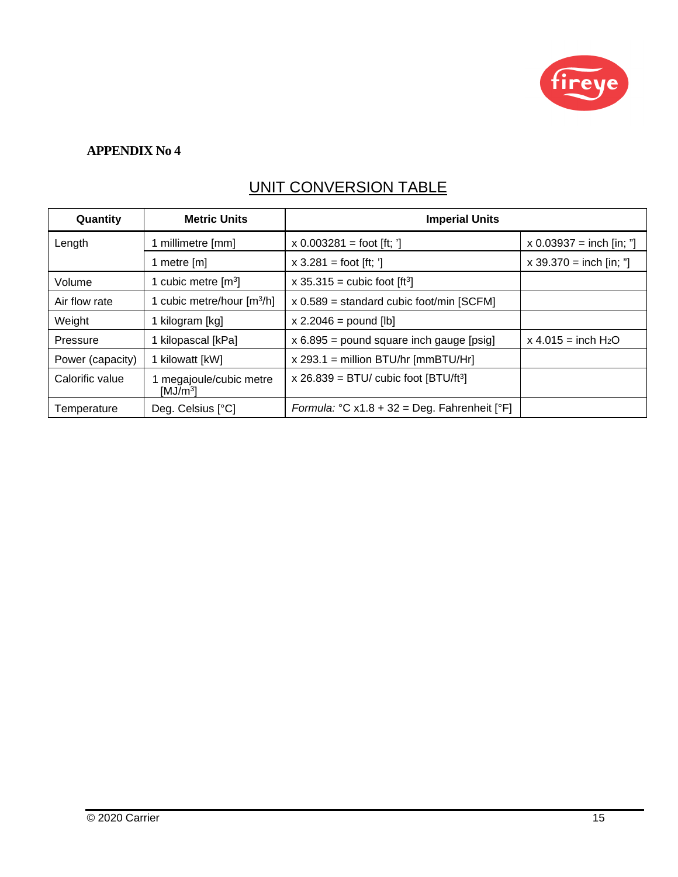

## UNIT CONVERSION TABLE

| Quantity         | <b>Metric Units</b>                           | <b>Imperial Units</b>                               |                            |  |
|------------------|-----------------------------------------------|-----------------------------------------------------|----------------------------|--|
| Length           | 1 millimetre [mm]                             | $x 0.003281 =$ foot [ft; ']                         | $x 0.03937 =$ inch [in; "] |  |
|                  | 1 metre [m]                                   | $x$ 3.281 = foot [ft; ']                            | $x$ 39.370 = inch [in; "]  |  |
| Volume           | 1 cubic metre $\lceil m^3 \rceil$             | x 35.315 = cubic foot $\lceil ft^3 \rceil$          |                            |  |
| Air flow rate    | 1 cubic metre/hour $\lceil m^3/h \rceil$      | $x 0.589$ = standard cubic foot/min [SCFM]          |                            |  |
| Weight           | 1 kilogram [kg]                               | $x 2.2046 =$ pound [lb]                             |                            |  |
| Pressure         | 1 kilopascal [kPa]                            | $x 6.895$ = pound square inch gauge [psig]          | $x 4.015 = inch H2O$       |  |
| Power (capacity) | 1 kilowatt [kW]                               | $x$ 293.1 = million BTU/hr [mmBTU/Hr]               |                            |  |
| Calorific value  | megajoule/cubic metre<br>[MJ/m <sup>3</sup> ] | x $26.839$ = BTU/ cubic foot [BTU/ft <sup>3</sup> ] |                            |  |
| Temperature      | Deg. Celsius [°C]                             | Formula: $°C x1.8 + 32 = Deg$ . Fahrenheit $[°F]$   |                            |  |